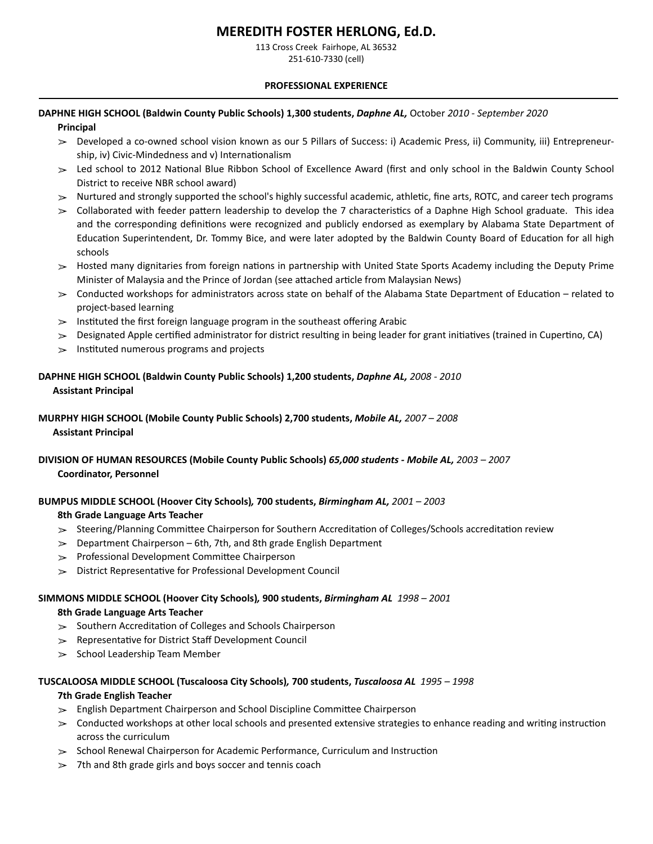# **MEREDITH FOSTER HERLONG, Ed.D.**

113 Cross Creek Fairhope, AL 36532 251-610-7330 (cell)

#### **PROFESSIONAL EXPERIENCE**

# **DAPHNE HIGH SCHOOL (Baldwin County Public Schools) 1,300 students,** *Daphne AL,* October *2010 - September 2020*

### **Principal**

- ➢ Developed a co-owned school vision known as our 5 Pillars of Success: i) Academic Press, ii) Community, iii) Entrepreneurship, iv) Civic-Mindedness and v) Internationalism
- ► Led school to 2012 National Blue Ribbon School of Excellence Award (first and only school in the Baldwin County School District to receive NBR school award)
- $>$  Nurtured and strongly supported the school's highly successful academic, athletic, fine arts, ROTC, and career tech programs
- $\geq$  Collaborated with feeder pattern leadership to develop the 7 characteristics of a Daphne High School graduate. This idea and the corresponding definitions were recognized and publicly endorsed as exemplary by Alabama State Department of Education Superintendent, Dr. Tommy Bice, and were later adopted by the Baldwin County Board of Education for all high schools
- $>$  Hosted many dignitaries from foreign nations in partnership with United State Sports Academy including the Deputy Prime Minister of Malaysia and the Prince of Jordan (see attached article from Malaysian News)
- $>$  Conducted workshops for administrators across state on behalf of the Alabama State Department of Education related to project-based learning
- $>$  Instituted the first foreign language program in the southeast offering Arabic
- $>$  Designated Apple certified administrator for district resulting in being leader for grant initiatives (trained in Cupertino, CA)
- $\geq$  Instituted numerous programs and projects

# **DAPHNE HIGH SCHOOL (Baldwin County Public Schools) 1,200 students,** *Daphne AL, 2008 - 2010*   **Assistant Principal**

# **MURPHY HIGH SCHOOL (Mobile County Public Schools) 2,700 students,** *Mobile AL, 2007 – 2008*   **Assistant Principal**

**DIVISION OF HUMAN RESOURCES (Mobile County Public Schools)** *65,000 students - Mobile AL, 2003 – 2007*  **Coordinator, Personnel** 

# **BUMPUS MIDDLE SCHOOL (Hoover City Schools)***,* **700 students,** *Birmingham AL, 2001 – 2003*  **8th Grade Language Arts Teacher**

- $>$  Steering/Planning Committee Chairperson for Southern Accreditation of Colleges/Schools accreditation review
- $\geq$  Department Chairperson 6th, 7th, and 8th grade English Department
- $\gg$  Professional Development Committee Chairperson
- $\geq$  District Representative for Professional Development Council

### **SIMMONS MIDDLE SCHOOL (Hoover City Schools)***,* **900 students,** *Birmingham AL 1998 – 2001*

### **8th Grade Language Arts Teacher**

- $\geq$  Southern Accreditation of Colleges and Schools Chairperson
- $\geq$  Representative for District Staff Development Council
- $\geq$  School Leadership Team Member

# **TUSCALOOSA MIDDLE SCHOOL (Tuscaloosa City Schools)***,* **700 students,** *Tuscaloosa AL 1995 – 1998*

### **7th Grade English Teacher**

- $\geq$  English Department Chairperson and School Discipline Committee Chairperson
- $\geq$  Conducted workshops at other local schools and presented extensive strategies to enhance reading and writing instruction across the curriculum
- $>$  School Renewal Chairperson for Academic Performance, Curriculum and Instruction
- $>$  7th and 8th grade girls and boys soccer and tennis coach